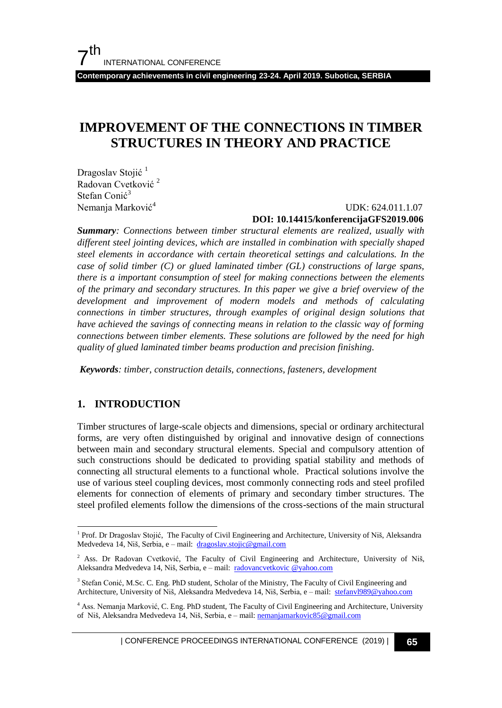**Contemporary achievements in civil engineering 23-24. April 2019. Subotica, SERBIA**

# **IMPROVEMENT OF THE CONNECTIONS IN TIMBER STRUCTURES IN THEORY AND PRACTICE**

Dragoslav Stojić<sup>1</sup> Radovan Cvetković <sup>2</sup> Stefan Conić<sup>3</sup> Nemanja Marković<sup>4</sup>

#### UDK: 624.011.1.07

#### **DOI: 10.14415/konferencijaGFS2019.006**

*Summary: Connections between timber structural elements are realized, usually with different steel jointing devices, which are installed in combination with specially shaped steel elements in accordance with certain theoretical settings and calculations. In the case of solid timber (C) or glued laminated timber (GL) constructions of large spans, there is a important consumption of steel for making connections between the elements of the primary and secondary structures. In this paper we give a brief overview of the development and improvement of modern models and methods of calculating connections in timber structures, through examples of original design solutions that have achieved the savings of connecting means in relation to the classic way of forming connections between timber elements. These solutions are followed by the need for high quality of glued laminated timber beams production and precision finishing.* 

*Keywords: timber, construction details, connections, fasteners, development*

### **1. INTRODUCTION**

l

Timber structures of large-scale objects and dimensions, special or ordinary architectural forms, are very often distinguished by original and innovative design of connections between main and secondary structural elements. Special and compulsory attention of such constructions should be dedicated to providing spatial stability and methods of connecting all structural elements to a functional whole. Practical solutions involve the use of various steel coupling devices, most commonly connecting rods and steel profiled elements for connection of elements of primary and secondary timber structures. The steel profiled elements follow the dimensions of the cross-sections of the main structural

<sup>&</sup>lt;sup>1</sup> Prof. Dr Dragoslav Stojić, The Faculty of Civil Engineering and Architecture, University of Niš, Aleksandra Medvedeva 14, Niš, Serbia, e – mail: [dragoslav.stojic@gmail.com](mailto:dragoslav.stojic@gmail.com)

<sup>&</sup>lt;sup>2</sup> Ass. Dr Radovan Cvetković, The Faculty of Civil Engineering and Architecture, University of Niš, Aleksandra Medvedeva 14, Niš, Serbia, e – mail: [radovancvetkovic @yahoo.com](mailto:dragoslav.stojic@gmail.com)

<sup>3</sup> Stefan Conić, M.Sc. C. Eng. PhD student, Scholar of the Ministry, The Faculty of Civil Engineering and Architecture, University of Niš, Aleksandra Medvedeva 14, Niš, Serbia, e - mail: [stefanvl989@yahoo.com](mailto:stefanvl989@yahoo.com)

<sup>4</sup> Ass. Nemanja Marković, C. Eng. PhD student, The Faculty of Civil Engineering and Architecture, University of Niš, Aleksandra Medvedeva 14, Niš, Serbia, e – mail: [nemanjamarkovic85@gmail.com](mailto:nemanjamarkovic85@gmail.com)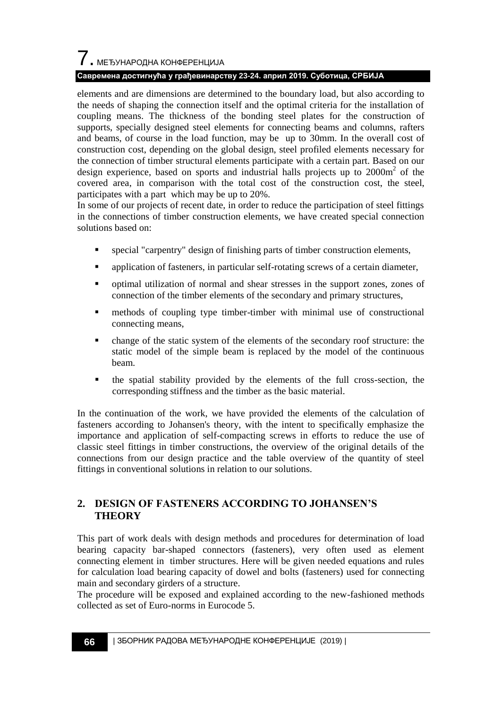# $\overline{7}$ . МЕЂУНАРОДНА КОНФЕРЕНЦИЈА

### **Савремена достигнућа у грађевинарству 23-24. април 2019. Суботица, СРБИЈА**

elements and are dimensions are determined to the boundary load, but also according to the needs of shaping the connection itself and the optimal criteria for the installation of coupling means. The thickness of the bonding steel plates for the construction of supports, specially designed steel elements for connecting beams and columns, rafters and beams, of course in the load function, may be up to 30mm. In the overall cost of construction cost, depending on the global design, steel profiled elements necessary for the connection of timber structural elements participate with a certain part. Based on our design experience, based on sports and industrial halls projects up to 2000m<sup>2</sup> of the covered area, in comparison with the total cost of the construction cost, the steel, participates with a part which may be up to 20%.

In some of our projects of recent date, in order to reduce the participation of steel fittings in the connections of timber construction elements, we have created special connection solutions based on:

- special "carpentry" design of finishing parts of timber construction elements,
- application of fasteners, in particular self-rotating screws of a certain diameter,
- optimal utilization of normal and shear stresses in the support zones, zones of connection of the timber elements of the secondary and primary structures,
- methods of coupling type timber-timber with minimal use of constructional connecting means,
- change of the static system of the elements of the secondary roof structure: the static model of the simple beam is replaced by the model of the continuous beam.
- the spatial stability provided by the elements of the full cross-section, the corresponding stiffness and the timber as the basic material.

In the continuation of the work, we have provided the elements of the calculation of fasteners according to Johansen's theory, with the intent to specifically emphasize the importance and application of self-compacting screws in efforts to reduce the use of classic steel fittings in timber constructions, the overview of the original details of the connections from our design practice and the table overview of the quantity of steel fittings in conventional solutions in relation to our solutions.

### **2. DESIGN OF FASTENERS ACCORDING TO JOHANSEN'S THEORY**

This part of work deals with design methods and procedures for determination of load bearing capacity bar-shaped connectors (fasteners), very often used as element connecting element in timber structures. Here will be given needed equations and rules for calculation load bearing capacity of dowel and bolts (fasteners) used for connecting main and secondary girders of a structure.

The procedure will be exposed and explained according to the new-fashioned methods collected as set of Euro-norms in Eurocode 5.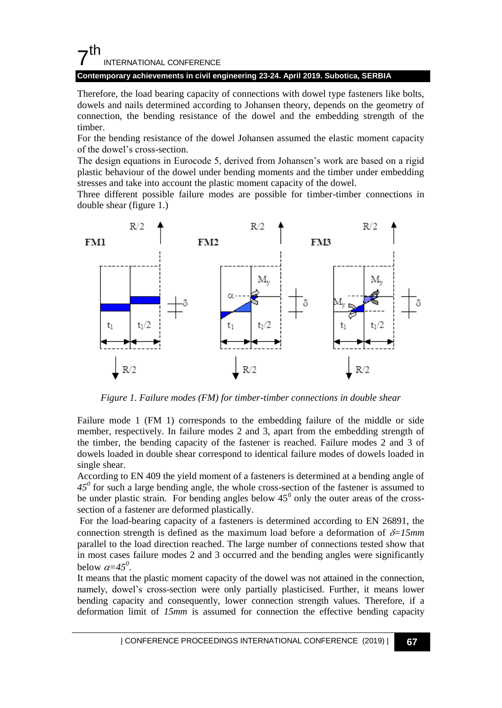## $7<sup>th</sup>$ INTERNATIONAL CONFERENCE

### **Contemporary achievements in civil engineering 23-24. April 2019. Subotica, SERBIA**

Therefore, the load bearing capacity of connections with dowel type fasteners like bolts, dowels and nails determined according to Johansen theory, depends on the geometry of connection, the bending resistance of the dowel and the embedding strength of the timber.

For the bending resistance of the dowel Johansen assumed the elastic moment capacity of the dowel"s cross-section.

The design equations in Eurocode 5, derived from Johansen"s work are based on a rigid plastic behaviour of the dowel under bending moments and the timber under embedding stresses and take into account the plastic moment capacity of the dowel.

Three different possible failure modes are possible for timber-timber connections in double shear (figure 1.)



*Figure 1. Failure modes (FM) for timber-timber connections in double shear*

Failure mode 1 (FM 1) corresponds to the embedding failure of the middle or side member, respectively. In failure modes 2 and 3, apart from the embedding strength of the timber, the bending capacity of the fastener is reached. Failure modes 2 and 3 of dowels loaded in double shear correspond to identical failure modes of dowels loaded in single shear.

According to EN 409 the yield moment of a fasteners is determined at a bending angle of  $45<sup>0</sup>$  for such a large bending angle, the whole cross-section of the fastener is assumed to be under plastic strain. For bending angles below  $45^{\circ}$  only the outer areas of the crosssection of a fastener are deformed plastically.

For the load-bearing capacity of a fasteners is determined according to EN 26891, the connection strength is defined as the maximum load before a deformation of  $\delta=15$ mm parallel to the load direction reached. The large number of connections tested show that in most cases failure modes 2 and 3 occurred and the bending angles were significantly below  $\alpha = 45^\circ$ .

It means that the plastic moment capacity of the dowel was not attained in the connection, namely, dowel"s cross-section were only partially plasticised. Further, it means lower bending capacity and consequently, lower connection strength values. Therefore, if a deformation limit of *15mm* is assumed for connection the effective bending capacity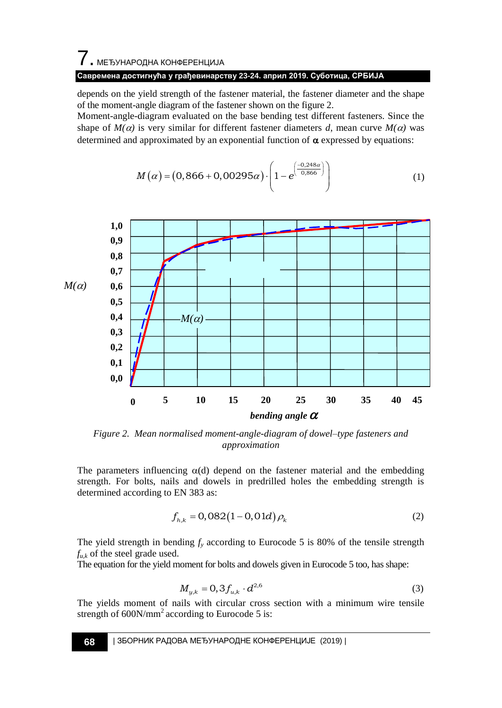# 7. МЕЂУНАРОДНА КОНФЕРЕНЦИЈА

### **Савремена достигнућа у грађевинарству 23-24. април 2019. Суботица, СРБИЈА**

depends on the yield strength of the fastener material, the fastener diameter and the shape of the moment-angle diagram of the fastener shown on the figure 2.

Moment-angle-diagram evaluated on the base bending test different fasteners. Since the shape of  $M(\alpha)$  is very similar for different fastener diameters *d*, mean curve  $M(\alpha)$  was determined and approximated by an exponential function of  $\alpha$  expressed by equations:

$$
M(\alpha) = (0,866 + 0,00295\alpha) \cdot \left(1 - e^{\left(\frac{-0.248\alpha}{0.866}\right)}\right) \tag{1}
$$



*Figure 2. Mean normalised moment-angle-diagram of dowel–type fasteners and approximation*

The parameters influencing  $\alpha(d)$  depend on the fastener material and the embedding strength. For bolts, nails and dowels in predrilled holes the embedding strength is determined according to EN 383 as:

$$
f_{h,k} = 0.082(1 - 0.01d)\rho_k
$$
 (2)

The yield strength in bending  $f<sub>y</sub>$  according to Eurocode 5 is 80% of the tensile strength  $f_{u,k}$  of the steel grade used.

The equation for the yield moment for bolts and dowels given in Eurocode 5 too, has shape:

$$
M_{y,k} = 0,3f_{u,k} \cdot d^{2,6}
$$
 (3)

The yields moment of nails with circular cross section with a minimum wire tensile strength of  $600N/mm^2$  according to Eurocode 5 is: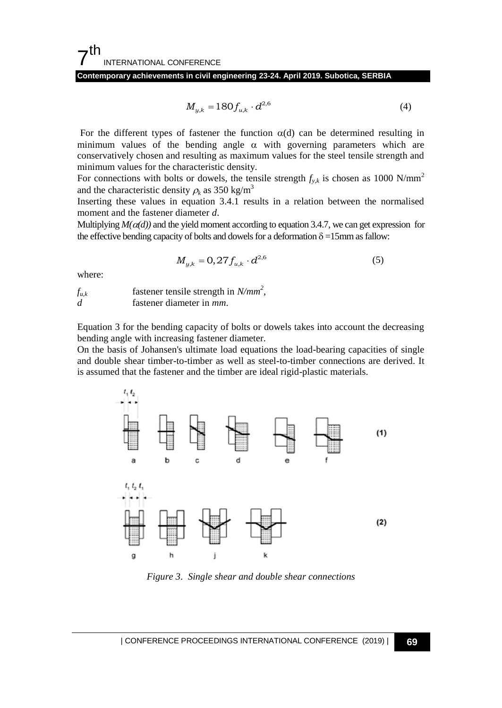**Contemporary achievements in civil engineering 23-24. April 2019. Subotica, SERBIA**

$$
M_{y,k} = 180 f_{u,k} \cdot d^{2,6} \tag{4}
$$

For the different types of fastener the function  $\alpha(d)$  can be determined resulting in minimum values of the bending angle  $\alpha$  with governing parameters which are conservatively chosen and resulting as maximum values for the steel tensile strength and minimum values for the characteristic density.

For connections with bolts or dowels, the tensile strength  $f_{v,k}$  is chosen as 1000 N/mm<sup>2</sup> and the characteristic density  $\rho_k$  as 350 kg/m<sup>3</sup>

Inserting these values in equation 3.4.1 results in a relation between the normalised moment and the fastener diameter *d*.

Multiplying  $M(\alpha(d))$  and the yield moment according to equation 3.4.7, we can get expression for the effective bending capacity of bolts and dowels for a deformation  $\delta = 15$ mm as fallow:

$$
M_{y,k} = 0,27 f_{u,k} \cdot d^{2,6}
$$
 (5)

where:

 $f_{u,k}$  fastener tensile strength in  $N/mm^2$ , *d* fastener diameter in *mm*.

Equation 3 for the bending capacity of bolts or dowels takes into account the decreasing bending angle with increasing fastener diameter.

On the basis of Johansen's ultimate load equations the load-bearing capacities of single and double shear timber-to-timber as well as steel-to-timber connections are derived. It is assumed that the fastener and the timber are ideal rigid-plastic materials.



*Figure 3. Single shear and double shear connections*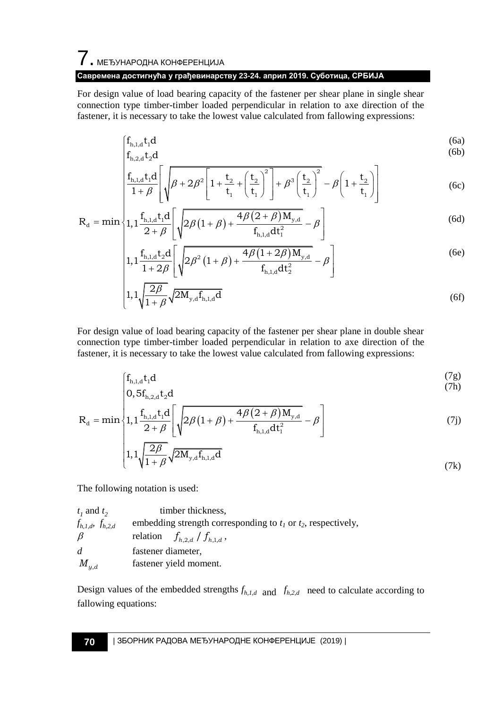# 7. МЕЂУНАРОДНА КОНФЕРЕНЦИЈА **Савремена достигнућа у грађевинарству 23-24. април 2019. Суботица, СРБИЈА**

For design value of load bearing capacity of the fastener per shear plane in single shear connection type timber-timber loaded perpendicular in relation to axe direction of the

fastener, it is necessary to take the lowest value calculated from fallowing expressions:\n
$$
\begin{cases}\nf_{h,1,d}t_1d \\
f_{h,2,d}t_2d\n\end{cases}
$$
\n(6a)\n(6b)

$$
\begin{vmatrix}\nI_{h,1,d}t_1d \\
I_{h,2,d}t_2d \\
\frac{f_{h,1,d}t_1d}{1+\beta} \left[ \sqrt{\beta + 2\beta^2 \left[ 1 + \frac{t_2}{t_1} + \left( \frac{t_2}{t_1} \right)^2 \right] + \beta^3 \left( \frac{t_2}{t_1} \right)^2} - \beta \left( 1 + \frac{t_2}{t_1} \right) \right] & (6c) \\
I_{1,1} \frac{f_{h,1,d}t_1d}{1+\beta} \left[ \sqrt{\beta (1+\beta) + \frac{4\beta (2+\beta)M_{y,d}}{1+\beta}} - \beta \right] & (6d)\n\end{vmatrix}
$$

$$
R_{d} = \min \left\{ 1 + \beta \left[ \sqrt{\frac{p^{\beta + 2p} \left[ \frac{1}{r} + \frac{1}{r} \left( t_1 \right) \right]^{1/p} \left( t_1 \right)}{1 + \frac{f_{h,1,d}t_1 d}{2 + \beta}} \left[ \sqrt{2\beta (1 + \beta) + \frac{4\beta (2 + \beta) M_{y,d}}{f_{h,1,d} dt_1^2}} - \beta \right] \right\}
$$
(6d)  

$$
1 + \frac{f_{h,1,d}t_2 d}{2 + \beta} \left[ \sqrt{2\beta (1 + \beta) + \frac{4\beta (1 + 2\beta) M_{y,d}}{f_{h,1,d} dt_1^2}} - \beta \right]
$$
(6e)

$$
\begin{bmatrix}\n1, 1 & \frac{1}{2+\beta} \left[ \sqrt{\frac{2\beta(1+\beta) + \frac{1}{\beta_{h,1,d} dt_1^2} - \beta}{f_{h,1,d} dt_1^2}} - \beta \right] \\
1, 1 & \frac{f_{h,1,d} t_2 d}{1 + 2\beta} \left[ \sqrt{2\beta^2 (1+\beta) + \frac{4\beta(1+2\beta) M_{y,d}}{f_{h,1,d} dt_2^2}} - \beta \right]\n\end{bmatrix}
$$
\n(6e)

$$
\begin{bmatrix}\n1+2\beta \left[\begin{matrix} \sqrt{2\beta} & f_{h,1,d}dt_2^2 & f_{h,1,d}dt_2 \\ 1,1\sqrt{\frac{2\beta}{1+\beta}}\sqrt{2M_{y,d}f_{h,1,d}dt} & & & \end{matrix}\right] \n\end{bmatrix}
$$
\n(6f)

For design value of load bearing capacity of the fastener per shear plane in double shear connection type timber-timber loaded perpendicular in relation to axe direction of the

fastener, it is necessary to take the lowest value calculated from fallowing expressions:\n
$$
\begin{cases}\nf_{h,1,d}t_1d \\
0, 5f_{h,2,d}t_2d\n\end{cases}
$$
\n(7a)

(7k)

$$
R_{d} = \min \left\{ 1, 1 \frac{f_{h,1,d}t_{1}d}{2+\beta} \left[ \sqrt{2\beta(1+\beta) + \frac{4\beta(2+\beta)M_{y,d}}{f_{h,1,d}dt_{1}^{2}}} - \beta \right] \right\}
$$
(7j)  

$$
1, 1 \sqrt{\frac{2\beta}{1+\beta}} \sqrt{2M_{y,d}f_{h,1,d}d}
$$
(7k)

The following notation is used:

| $t_1$ and $t_2$           | timber thickness.                                                  |  |  |  |  |
|---------------------------|--------------------------------------------------------------------|--|--|--|--|
| $f_{h,1,d}$ , $f_{h,2,d}$ | embedding strength corresponding to $t_1$ or $t_2$ , respectively, |  |  |  |  |
| $\beta$                   | relation $f_{h,2,d}$ / $f_{h,1,d}$ ,                               |  |  |  |  |
| d                         | fastener diameter,                                                 |  |  |  |  |
| $M_{y,d}$                 | fastener yield moment.                                             |  |  |  |  |

Design values of the embedded strengths  $f_{h,l,d}$  and  $f_{h,2,d}$  need to calculate according to fallowing equations: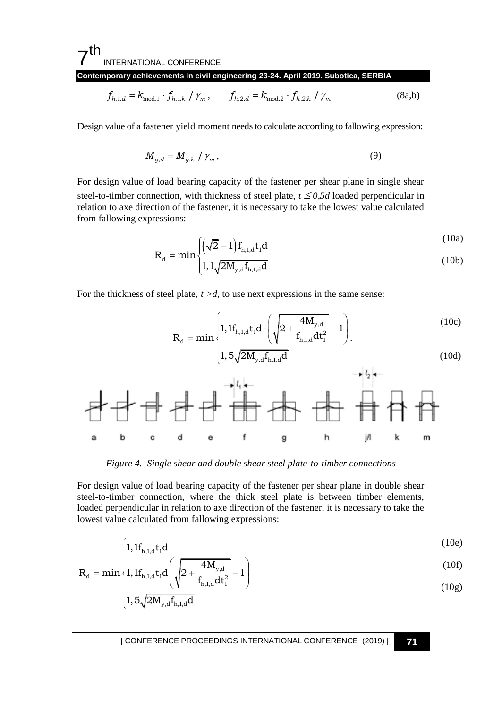#### 7 th INTERNATIONAL CONFERENCE

**Contemporary achievements in civil engineering 23-24. April 2019. Subotica, SERBIA**

$$
f_{h,1,d} = k_{\text{mod},1} \cdot f_{h,1,k} / \gamma_m, \qquad f_{h,2,d} = k_{\text{mod},2} \cdot f_{h,2,k} / \gamma_m
$$
 (8a,b)

Design value of a fastener yield moment needs to calculate according to fallowing expression:

$$
M_{y,d} = M_{y,k} / \gamma_m, \qquad (9)
$$

For design value of load bearing capacity of the fastener per shear plane in single shear steel-to-timber connection, with thickness of steel plate,  $t \leq 0.5d$  loaded perpendicular in relation to axe direction of the fastener, it is necessary to take the lowest value calculated from fallowing expressions:

$$
R_{d} = \min \left\{ \left( \sqrt{2} - 1 \right) f_{h,1,d} t_{1} d \right\}
$$
\n(10a)

$$
d = min \left\{ 1, 1, \sqrt{2M_{y,d}} f_{h,1,d} d \right\}
$$
 (10b)

For the thickness of steel plate,  $t > d$ , to use next expressions in the same sense:

$$
R_{d} = min \begin{cases} 1, 1f_{h,1,d}t_{1}d \cdot \left(\sqrt{2 + \frac{4M_{y,d}}{f_{h,1,d}dt_{1}^{2}}} - 1\right) \\ 1, 5\sqrt{2M_{y,d}f_{h,1,d}d} \end{cases}
$$
(10c)

*Figure 4. Single shear and double shear steel plate-to-timber connections*

For design value of load bearing capacity of the fastener per shear plane in double shear steel-to-timber connection, where the thick steel plate is between timber elements, loaded perpendicular in relation to axe direction of the fastener, it is necessary to take the lowest value calculated from fallowing expressions:

$$
\left[1, 1f_{h,1,d}t_1d\right] \tag{10e}
$$

$$
R_{d} = min \begin{cases} 1, \Pi_{h,1,d} t_{1} d \\ 1, 1 f_{h,1,d} t_{1} d \left( \sqrt{2 + \frac{4M_{y,d}}{f_{h,1,d} dt_{1}^{2}}} - 1 \right) \end{cases}
$$
(10f)

$$
\left(1,5\sqrt{2M_{y,d}}\mathbf{f}_{h,1,d}\mathbf{d}\right) \tag{10g}
$$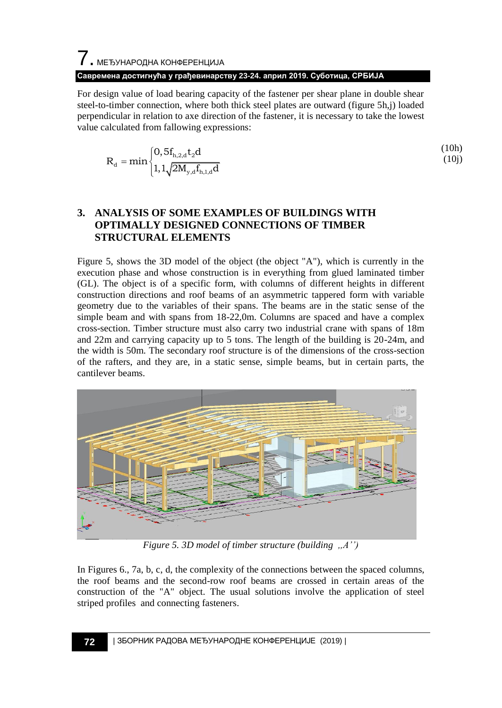For design value of load bearing capacity of the fastener per shear plane in double shear steel-to-timber connection, where both thick steel plates are outward (figure 5h,j) loaded perpendicular in relation to axe direction of the fastener, it is necessary to take the lowest value calculated from fallowing expressions:

$$
R_{d} = min \begin{cases} 0, 5f_{h,2,d}t_{2}d \\ 1, 1\sqrt{2M_{y,d}f_{h,1,d}d} \end{cases}
$$
 (10h) (10j)

### **3. ANALYSIS OF SOME EXAMPLES OF BUILDINGS WITH OPTIMALLY DESIGNED CONNECTIONS OF TIMBER STRUCTURAL ELEMENTS**

Figure 5, shows the 3D model of the object (the object "A"), which is currently in the execution phase and whose construction is in everything from glued laminated timber (GL). The object is of a specific form, with columns of different heights in different construction directions and roof beams of an asymmetric tappered form with variable geometry due to the variables of their spans. The beams are in the static sense of the simple beam and with spans from 18-22,0m. Columns are spaced and have a complex cross-section. Timber structure must also carry two industrial crane with spans of 18m and 22m and carrying capacity up to 5 tons. The length of the building is 20-24m, and the width is 50m. The secondary roof structure is of the dimensions of the cross-section of the rafters, and they are, in a static sense, simple beams, but in certain parts, the cantilever beams.



*Figure 5. 3D model of timber structure (building ,,A"")*

In Figures 6., 7a, b, c, d, the complexity of the connections between the spaced columns, the roof beams and the second-row roof beams are crossed in certain areas of the construction of the "A" object. The usual solutions involve the application of steel striped profiles and connecting fasteners.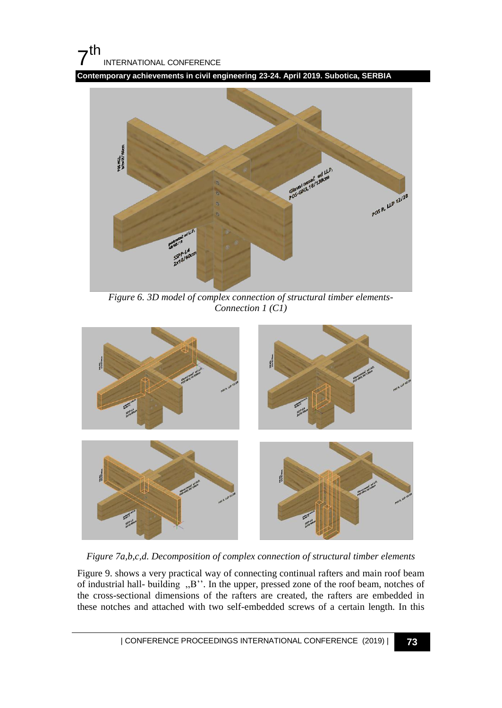# $7<sup>th</sup>$ INTERNATIONAL CONFERENCE

**Contemporary achievements in civil engineering 23-24. April 2019. Subotica, SERBIA**



*Figure 6. 3D model of complex connection of structural timber elements-Connection 1 (C1)*



*Figure 7a,b,c,d. Decomposition of complex connection of structural timber elements* 

Figure 9. shows a very practical way of connecting continual rafters and main roof beam of industrial hall- building ,,B"". In the upper, pressed zone of the roof beam, notches of the cross-sectional dimensions of the rafters are created, the rafters are embedded in these notches and attached with two self-embedded screws of a certain length. In this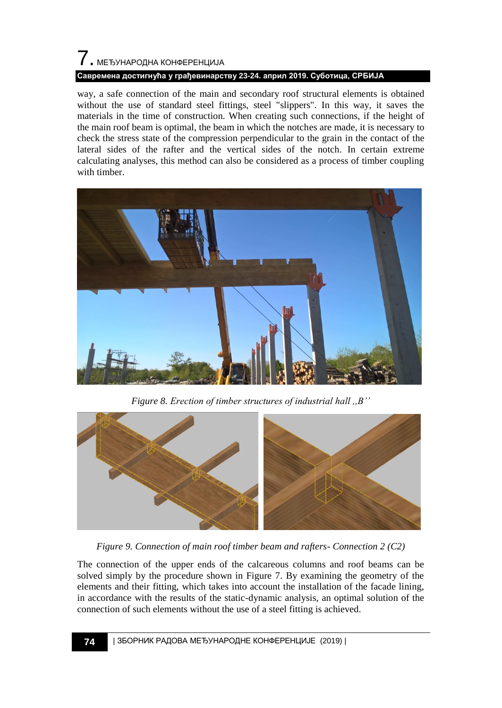# 7. МЕЂУНАРОДНА КОНФЕРЕНЦИЈА **Савремена достигнућа у грађевинарству 23-24. април 2019. Суботица, СРБИЈА**

way, a safe connection of the main and secondary roof structural elements is obtained without the use of standard steel fittings, steel "slippers". In this way, it saves the materials in the time of construction. When creating such connections, if the height of the main roof beam is optimal, the beam in which the notches are made, it is necessary to check the stress state of the compression perpendicular to the grain in the contact of the lateral sides of the rafter and the vertical sides of the notch. In certain extreme calculating analyses, this method can also be considered as a process of timber coupling with timber.



*Figure 8. Erection of timber structures of industrial hall ,,B""*



*Figure 9. Connection of main roof timber beam and rafters- Connection 2 (C2)*

The connection of the upper ends of the calcareous columns and roof beams can be solved simply by the procedure shown in Figure 7. By examining the geometry of the elements and their fitting, which takes into account the installation of the facade lining, in accordance with the results of the static-dynamic analysis, an optimal solution of the connection of such elements without the use of a steel fitting is achieved.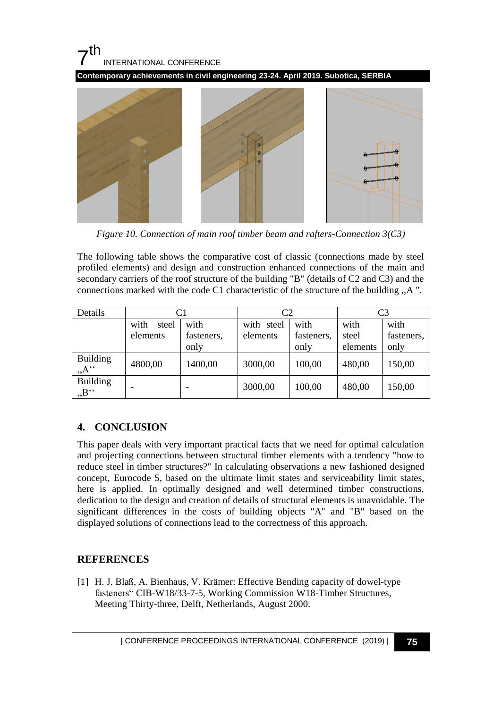# $7<sup>th</sup>$ INTERNATIONAL CONFERENCE

**Contemporary achievements in civil engineering 23-24. April 2019. Subotica, SERBIA**



*Figure 10. Connection of main roof timber beam and rafters-Connection 3(C3)*

The following table shows the comparative cost of classic (connections made by steel profiled elements) and design and construction enhanced connections of the main and secondary carriers of the roof structure of the building "B" (details of C2 and C3) and the connections marked with the code C1 characteristic of the structure of the building ,,A ''.

| Details                                | C1            |            | C <sub>2</sub> |            | C <sub>3</sub> |            |
|----------------------------------------|---------------|------------|----------------|------------|----------------|------------|
|                                        | with<br>steel | with       | with steel     | with       | with           | with       |
|                                        | elements      | fasteners, | elements       | fasteners, | steel          | fasteners, |
|                                        |               | only       |                | only       | elements       | only       |
| <b>Building</b><br>$, \underline{A}$ " | 4800,00       | 1400,00    | 3000,00        | 100,00     | 480,00         | 150,00     |
| <b>Building</b><br>$B^{\prime\prime}$  |               |            | 3000,00        | 100,00     | 480,00         | 150,00     |

### **4. CONCLUSION**

This paper deals with very important practical facts that we need for optimal calculation and projecting connections between structural timber elements with a tendency "how to reduce steel in timber structures?" In calculating observations a new fashioned designed concept, Eurocode 5, based on the ultimate limit states and serviceability limit states, here is applied. In optimally designed and well determined timber constructions, dedication to the design and creation of details of structural elements is unavoidable. The significant differences in the costs of building objects "A" and "B" based on the displayed solutions of connections lead to the correctness of this approach.

### **REFERENCES**

[1] H. J. Blaß, A. Bienhaus, V. Krämer: Effective Bending capacity of dowel-type fasteners" CIB-W18/33-7-5, Working Commission W18-Timber Structures, Meeting Thirty-three, Delft, Netherlands, August 2000.